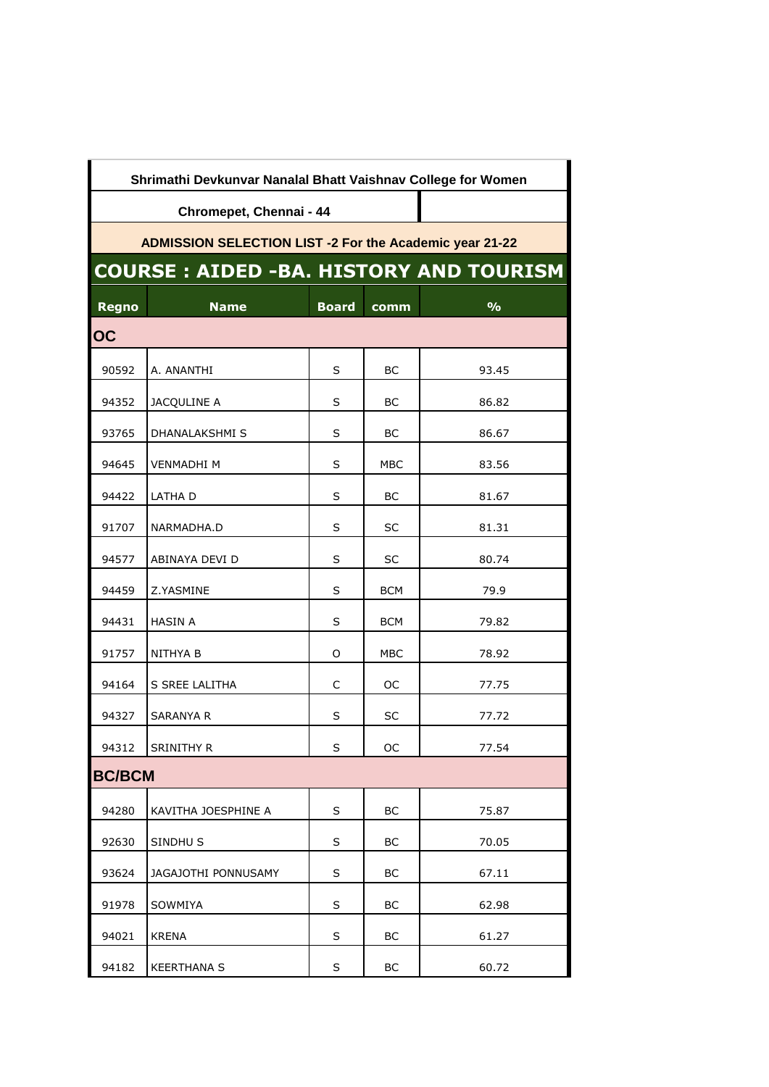| Shrimathi Devkunvar Nanalal Bhatt Vaishnav College for Women   |                     |              |            |               |  |  |  |  |
|----------------------------------------------------------------|---------------------|--------------|------------|---------------|--|--|--|--|
| Chromepet, Chennai - 44                                        |                     |              |            |               |  |  |  |  |
| <b>ADMISSION SELECTION LIST -2 For the Academic year 21-22</b> |                     |              |            |               |  |  |  |  |
| <b>COURSE: AIDED -BA. HISTORY AND TOURISM</b>                  |                     |              |            |               |  |  |  |  |
| <b>Regno</b>                                                   | <b>Name</b>         | <b>Board</b> | comm       | $\frac{9}{6}$ |  |  |  |  |
| <b>OC</b>                                                      |                     |              |            |               |  |  |  |  |
| 90592                                                          | A. ANANTHI          | S            | BС         | 93.45         |  |  |  |  |
| 94352                                                          | JACQULINE A         | S            | BС         | 86.82         |  |  |  |  |
| 93765                                                          | DHANALAKSHMI S      | S            | BC         | 86.67         |  |  |  |  |
| 94645                                                          | <b>VENMADHI M</b>   | S            | MBC        | 83.56         |  |  |  |  |
| 94422                                                          | LATHA D             | S            | ВC         | 81.67         |  |  |  |  |
| 91707                                                          | NARMADHA.D          | S            | SC         | 81.31         |  |  |  |  |
| 94577                                                          | ABINAYA DEVI D      | S            | SC         | 80.74         |  |  |  |  |
| 94459                                                          | Z.YASMINE           | S            | <b>BCM</b> | 79.9          |  |  |  |  |
| 94431                                                          | HASIN A             | S            | <b>BCM</b> | 79.82         |  |  |  |  |
| 91757                                                          | NITHYA B            | 0            | MBC        | 78.92         |  |  |  |  |
| 94164                                                          | S SREE LALITHA      | C            | OС         | 77.75         |  |  |  |  |
| 94327                                                          | SARANYA R           | S            | SC         | 77.72         |  |  |  |  |
| 94312                                                          | SRINITHY R          | S            | OC         | 77.54         |  |  |  |  |
| <b>BC/BCM</b>                                                  |                     |              |            |               |  |  |  |  |
| 94280                                                          | KAVITHA JOESPHINE A | S            | BС         | 75.87         |  |  |  |  |
| 92630                                                          | SINDHU <sub>S</sub> | S            | BC         | 70.05         |  |  |  |  |
| 93624                                                          | JAGAJOTHI PONNUSAMY | S            | BC         | 67.11         |  |  |  |  |
| 91978                                                          | SOWMIYA             | S            | BC         | 62.98         |  |  |  |  |
| 94021                                                          | <b>KRENA</b>        | S            | BC         | 61.27         |  |  |  |  |
| 94182                                                          | <b>KEERTHANA S</b>  | S            | BC         | 60.72         |  |  |  |  |